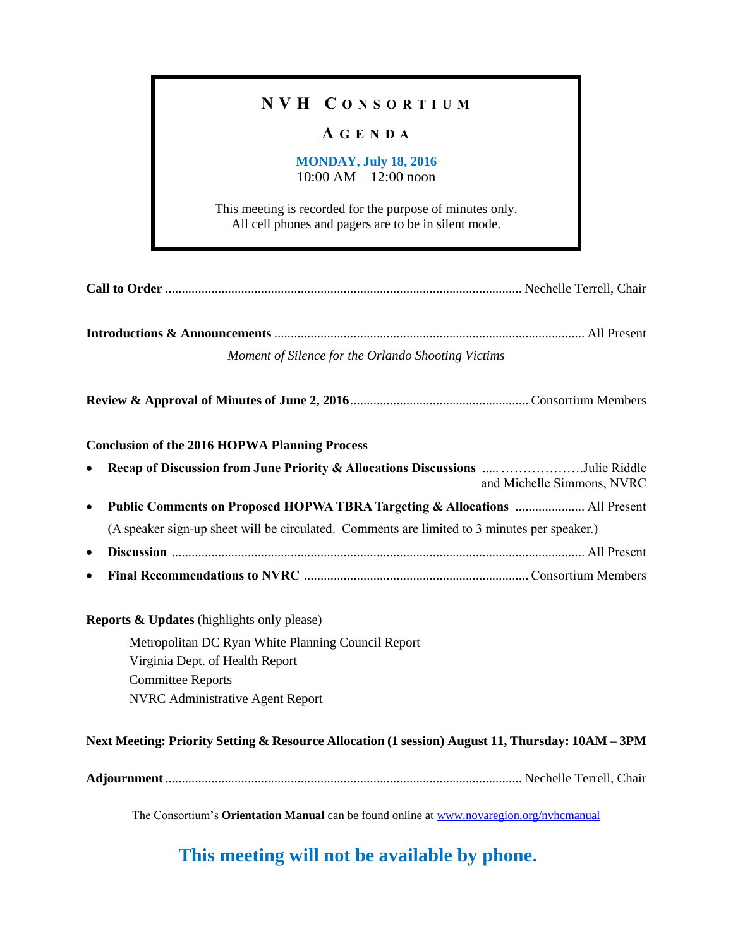## **N V H C O N S O R T I U M**

## **A G E N D A**

#### **MONDAY, July 18, 2016** 10:00 AM – 12:00 noon

This meeting is recorded for the purpose of minutes only. All cell phones and pagers are to be in silent mode.

**Introductions & Announcements** .............................................................................................. All Present *Moment of Silence for the Orlando Shooting Victims*

**Review & Approval of Minutes of June 2, 2016**...................................................... Consortium Members

#### **Conclusion of the 2016 HOPWA Planning Process**

|           | Recap of Discussion from June Priority & Allocations Discussions Julie Riddle                                                                                                                                         | and Michelle Simmons, NVRC |  |  |  |  |  |
|-----------|-----------------------------------------------------------------------------------------------------------------------------------------------------------------------------------------------------------------------|----------------------------|--|--|--|--|--|
| $\bullet$ |                                                                                                                                                                                                                       |                            |  |  |  |  |  |
|           | (A speaker sign-up sheet will be circulated. Comments are limited to 3 minutes per speaker.)                                                                                                                          |                            |  |  |  |  |  |
| $\bullet$ |                                                                                                                                                                                                                       |                            |  |  |  |  |  |
| $\bullet$ |                                                                                                                                                                                                                       |                            |  |  |  |  |  |
|           | <b>Reports &amp; Updates</b> (highlights only please)<br>Metropolitan DC Ryan White Planning Council Report<br>Virginia Dept. of Health Report<br><b>Committee Reports</b><br><b>NVRC</b> Administrative Agent Report |                            |  |  |  |  |  |

#### **Next Meeting: Priority Setting & Resource Allocation (1 session) August 11, Thursday: 10AM – 3PM**

**Adjournment**............................................................................................................ Nechelle Terrell, Chair

The Consortium's **Orientation Manual** can be found online at [www.novaregion.org/nvhcmanual](http://www.novaregion.org/nvhcmanual)

## **This meeting will not be available by phone.**